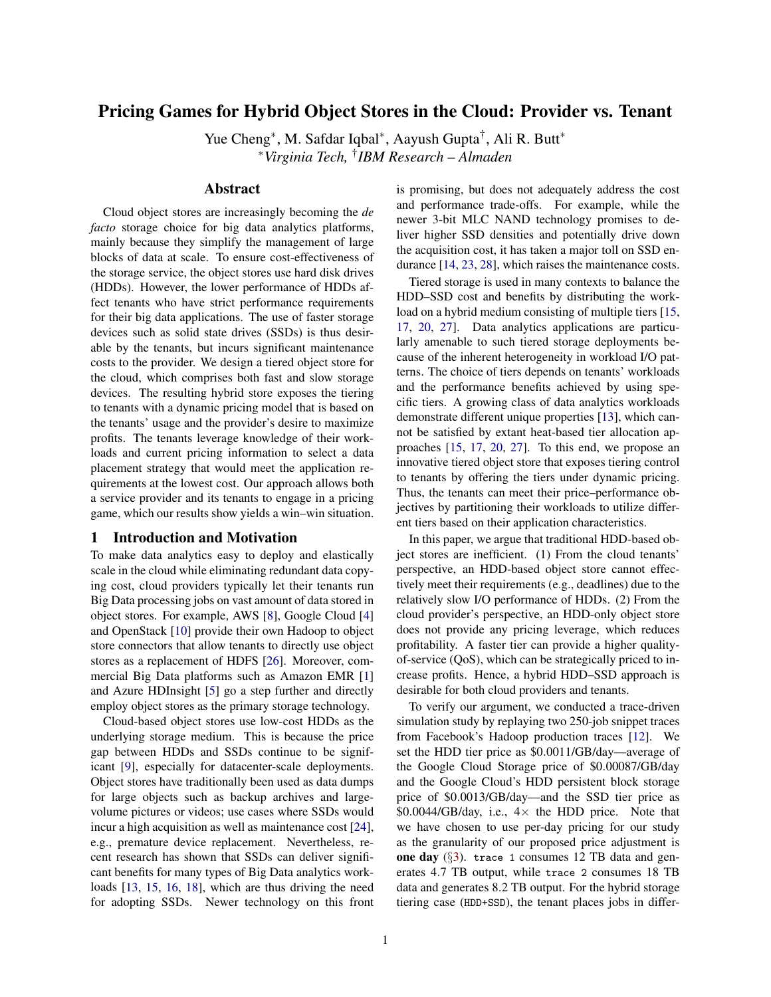# Pricing Games for Hybrid Object Stores in the Cloud: Provider vs. Tenant

Yue Cheng<sup>\*</sup>, M. Safdar Iqbal<sup>\*</sup>, Aayush Gupta<sup>†</sup>, Ali R. Butt<sup>\*</sup> <sup>∗</sup>*Virginia Tech,* † *IBM Research – Almaden*

# Abstract

Cloud object stores are increasingly becoming the *de facto* storage choice for big data analytics platforms, mainly because they simplify the management of large blocks of data at scale. To ensure cost-effectiveness of the storage service, the object stores use hard disk drives (HDDs). However, the lower performance of HDDs affect tenants who have strict performance requirements for their big data applications. The use of faster storage devices such as solid state drives (SSDs) is thus desirable by the tenants, but incurs significant maintenance costs to the provider. We design a tiered object store for the cloud, which comprises both fast and slow storage devices. The resulting hybrid store exposes the tiering to tenants with a dynamic pricing model that is based on the tenants' usage and the provider's desire to maximize profits. The tenants leverage knowledge of their workloads and current pricing information to select a data placement strategy that would meet the application requirements at the lowest cost. Our approach allows both a service provider and its tenants to engage in a pricing game, which our results show yields a win–win situation.

# 1 Introduction and Motivation

To make data analytics easy to deploy and elastically scale in the cloud while eliminating redundant data copying cost, cloud providers typically let their tenants run Big Data processing jobs on vast amount of data stored in object stores. For example, AWS [\[8\]](#page-5-0), Google Cloud [\[4\]](#page-5-1) and OpenStack [\[10\]](#page-5-2) provide their own Hadoop to object store connectors that allow tenants to directly use object stores as a replacement of HDFS [\[26\]](#page-6-0). Moreover, commercial Big Data platforms such as Amazon EMR [\[1\]](#page-5-3) and Azure HDInsight [\[5\]](#page-5-4) go a step further and directly employ object stores as the primary storage technology.

Cloud-based object stores use low-cost HDDs as the underlying storage medium. This is because the price gap between HDDs and SSDs continue to be significant [\[9\]](#page-5-5), especially for datacenter-scale deployments. Object stores have traditionally been used as data dumps for large objects such as backup archives and largevolume pictures or videos; use cases where SSDs would incur a high acquisition as well as maintenance cost [\[24\]](#page-6-1), e.g., premature device replacement. Nevertheless, recent research has shown that SSDs can deliver significant benefits for many types of Big Data analytics workloads [\[13,](#page-5-6) [15,](#page-5-7) [16,](#page-5-8) [18\]](#page-6-2), which are thus driving the need for adopting SSDs. Newer technology on this front is promising, but does not adequately address the cost and performance trade-offs. For example, while the newer 3-bit MLC NAND technology promises to deliver higher SSD densities and potentially drive down the acquisition cost, it has taken a major toll on SSD endurance [\[14,](#page-5-9) [23,](#page-6-3) [28\]](#page-6-4), which raises the maintenance costs.

Tiered storage is used in many contexts to balance the HDD–SSD cost and benefits by distributing the workload on a hybrid medium consisting of multiple tiers [\[15,](#page-5-7) [17,](#page-5-10) [20,](#page-6-5) [27\]](#page-6-6). Data analytics applications are particularly amenable to such tiered storage deployments because of the inherent heterogeneity in workload I/O patterns. The choice of tiers depends on tenants' workloads and the performance benefits achieved by using specific tiers. A growing class of data analytics workloads demonstrate different unique properties [\[13\]](#page-5-6), which cannot be satisfied by extant heat-based tier allocation approaches [\[15,](#page-5-7) [17,](#page-5-10) [20,](#page-6-5) [27\]](#page-6-6). To this end, we propose an innovative tiered object store that exposes tiering control to tenants by offering the tiers under dynamic pricing. Thus, the tenants can meet their price–performance objectives by partitioning their workloads to utilize different tiers based on their application characteristics.

In this paper, we argue that traditional HDD-based object stores are inefficient. (1) From the cloud tenants' perspective, an HDD-based object store cannot effectively meet their requirements (e.g., deadlines) due to the relatively slow I/O performance of HDDs. (2) From the cloud provider's perspective, an HDD-only object store does not provide any pricing leverage, which reduces profitability. A faster tier can provide a higher qualityof-service (QoS), which can be strategically priced to increase profits. Hence, a hybrid HDD–SSD approach is desirable for both cloud providers and tenants.

To verify our argument, we conducted a trace-driven simulation study by replaying two 250-job snippet traces from Facebook's Hadoop production traces [\[12\]](#page-5-11). We set the HDD tier price as \$0.0011/GB/day—average of the Google Cloud Storage price of \$0.00087/GB/day and the Google Cloud's HDD persistent block storage price of \$0.0013/GB/day—and the SSD tier price as  $$0.0044/GB/day, i.e., 4×$  the HDD price. Note that we have chosen to use per-day pricing for our study as the granularity of our proposed price adjustment is one day (§[3\)](#page-3-0). trace 1 consumes 12 TB data and generates 4.7 TB output, while trace 2 consumes 18 TB data and generates 8.2 TB output. For the hybrid storage tiering case (HDD+SSD), the tenant places jobs in differ-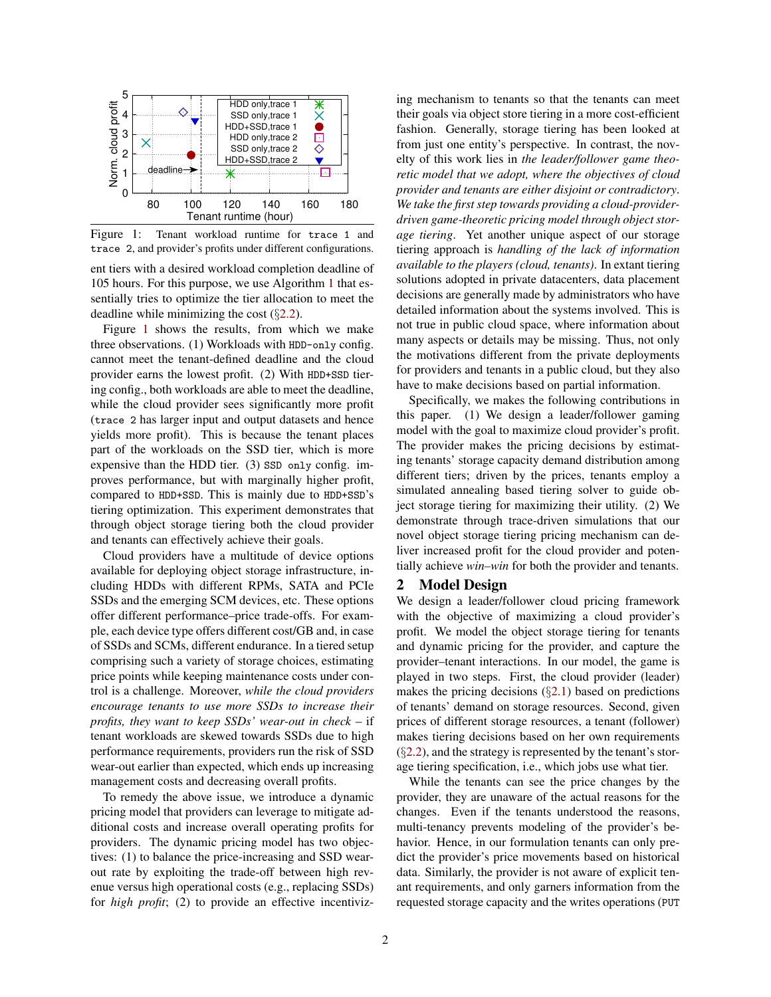<span id="page-1-0"></span>

Figure 1: Tenant workload runtime for trace 1 and trace 2, and provider's profits under different configurations.

ent tiers with a desired workload completion deadline of 105 hours. For this purpose, we use Algorithm [1](#page-3-1) that essentially tries to optimize the tier allocation to meet the deadline while minimizing the cost (§[2.2\)](#page-2-0).

Figure [1](#page-1-0) shows the results, from which we make three observations. (1) Workloads with HDD-only config. cannot meet the tenant-defined deadline and the cloud provider earns the lowest profit. (2) With HDD+SSD tiering config., both workloads are able to meet the deadline, while the cloud provider sees significantly more profit (trace 2 has larger input and output datasets and hence yields more profit). This is because the tenant places part of the workloads on the SSD tier, which is more expensive than the HDD tier. (3) SSD only config. improves performance, but with marginally higher profit, compared to HDD+SSD. This is mainly due to HDD+SSD's tiering optimization. This experiment demonstrates that through object storage tiering both the cloud provider and tenants can effectively achieve their goals.

Cloud providers have a multitude of device options available for deploying object storage infrastructure, including HDDs with different RPMs, SATA and PCIe SSDs and the emerging SCM devices, etc. These options offer different performance–price trade-offs. For example, each device type offers different cost/GB and, in case of SSDs and SCMs, different endurance. In a tiered setup comprising such a variety of storage choices, estimating price points while keeping maintenance costs under control is a challenge. Moreover, *while the cloud providers encourage tenants to use more SSDs to increase their profits, they want to keep SSDs' wear-out in check* – if tenant workloads are skewed towards SSDs due to high performance requirements, providers run the risk of SSD wear-out earlier than expected, which ends up increasing management costs and decreasing overall profits.

To remedy the above issue, we introduce a dynamic pricing model that providers can leverage to mitigate additional costs and increase overall operating profits for providers. The dynamic pricing model has two objectives: (1) to balance the price-increasing and SSD wearout rate by exploiting the trade-off between high revenue versus high operational costs (e.g., replacing SSDs) for *high profit*; (2) to provide an effective incentivizing mechanism to tenants so that the tenants can meet their goals via object store tiering in a more cost-efficient fashion. Generally, storage tiering has been looked at from just one entity's perspective. In contrast, the novelty of this work lies in *the leader/follower game theoretic model that we adopt, where the objectives of cloud provider and tenants are either disjoint or contradictory*. *We take the first step towards providing a cloud-providerdriven game-theoretic pricing model through object storage tiering*. Yet another unique aspect of our storage tiering approach is *handling of the lack of information available to the players (cloud, tenants)*. In extant tiering solutions adopted in private datacenters, data placement decisions are generally made by administrators who have detailed information about the systems involved. This is not true in public cloud space, where information about many aspects or details may be missing. Thus, not only the motivations different from the private deployments for providers and tenants in a public cloud, but they also have to make decisions based on partial information.

Specifically, we makes the following contributions in this paper. (1) We design a leader/follower gaming model with the goal to maximize cloud provider's profit. The provider makes the pricing decisions by estimating tenants' storage capacity demand distribution among different tiers; driven by the prices, tenants employ a simulated annealing based tiering solver to guide object storage tiering for maximizing their utility. (2) We demonstrate through trace-driven simulations that our novel object storage tiering pricing mechanism can deliver increased profit for the cloud provider and potentially achieve *win–win* for both the provider and tenants.

#### <span id="page-1-1"></span>2 Model Design

We design a leader/follower cloud pricing framework with the objective of maximizing a cloud provider's profit. We model the object storage tiering for tenants and dynamic pricing for the provider, and capture the provider–tenant interactions. In our model, the game is played in two steps. First, the cloud provider (leader) makes the pricing decisions  $(\S2.1)$  $(\S2.1)$  $(\S2.1)$  based on predictions of tenants' demand on storage resources. Second, given prices of different storage resources, a tenant (follower) makes tiering decisions based on her own requirements (§[2.2](#page-2-0)), and the strategy is represented by the tenant's storage tiering specification, i.e., which jobs use what tier.

While the tenants can see the price changes by the provider, they are unaware of the actual reasons for the changes. Even if the tenants understood the reasons, multi-tenancy prevents modeling of the provider's behavior. Hence, in our formulation tenants can only predict the provider's price movements based on historical data. Similarly, the provider is not aware of explicit tenant requirements, and only garners information from the requested storage capacity and the writes operations (PUT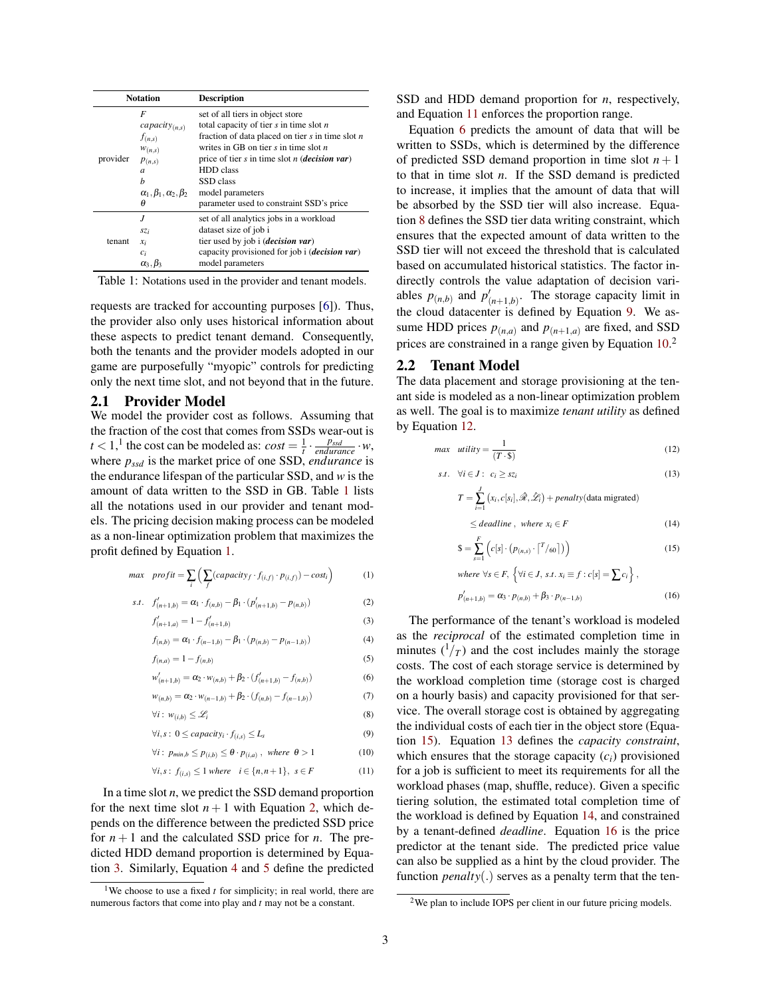<span id="page-2-2"></span>

| <b>Notation</b> |                                                                                                                                   | <b>Description</b>                                                                                                                                                                                                                                                                                         |
|-----------------|-----------------------------------------------------------------------------------------------------------------------------------|------------------------------------------------------------------------------------------------------------------------------------------------------------------------------------------------------------------------------------------------------------------------------------------------------------|
| provider        | F<br>capacity $_{(n,s)}$<br>$f_{(n,s)}$<br>$W_{(n,s)}$<br>P(n,s)<br>$\overline{a}$<br>h<br>$\alpha_1, \beta_1, \alpha_2, \beta_2$ | set of all tiers in object store<br>total capacity of tier $s$ in time slot $n$<br>fraction of data placed on tier $s$ in time slot $n$<br>writes in GB on tier $s$ in time slot $n$<br>price of tier s in time slot <i>n</i> ( <i>decision var</i> )<br><b>HDD</b> class<br>SSD class<br>model parameters |
|                 | θ                                                                                                                                 | parameter used to constraint SSD's price                                                                                                                                                                                                                                                                   |
| tenant          | $\overline{J}$<br>SZi<br>$x_i$<br>$c_i$                                                                                           | set of all analytics jobs in a workload<br>dataset size of job i<br>tier used by job i ( <i>decision var</i> )<br>capacity provisioned for job i (decision var)                                                                                                                                            |
|                 | $\alpha_3$                                                                                                                        | model parameters                                                                                                                                                                                                                                                                                           |

Table 1: Notations used in the provider and tenant models.

requests are tracked for accounting purposes [\[6\]](#page-5-12)). Thus, the provider also only uses historical information about these aspects to predict tenant demand. Consequently, both the tenants and the provider models adopted in our game are purposefully "myopic" controls for predicting only the next time slot, and not beyond that in the future.

### <span id="page-2-1"></span>2.1 Provider Model

We model the provider cost as follows. Assuming that the fraction of the cost that comes from SSDs wear-out is  $t < 1$ ,<sup>1</sup> the cost can be modeled as:  $cost = \frac{1}{t} \cdot \frac{p_{sd}}{endurance} \cdot w$ , where *pssd* is the market price of one SSD, *endurance* is the endurance lifespan of the particular SSD, and *w* is the amount of data written to the SSD in GB. Table [1](#page-2-2) lists all the notations used in our provider and tenant models. The pricing decision making process can be modeled as a non-linear optimization problem that maximizes the profit defined by Equation [1.](#page-2-3)

$$
max \quad profit = \sum_{i} \left( \sum_{f} (capacity_f \cdot f_{(i,f)} \cdot p_{(i,f)}) - cost_i \right) \tag{1}
$$

s.t. 
$$
f'_{(n+1,b)} = \alpha_1 \cdot f_{(n,b)} - \beta_1 \cdot (p'_{(n+1,b)} - p_{(n,b)})
$$
 (2)

$$
f'_{(n+1,a)} = 1 - f'_{(n+1,b)}
$$
\n(3)

$$
f_{(n,b)} = \alpha_1 \cdot f_{(n-1,b)} - \beta_1 \cdot (p_{(n,b)} - p_{(n-1,b)}) \tag{4}
$$

$$
f_{(n,a)} = 1 - f_{(n,b)}\tag{5}
$$

$$
w'_{(n+1,b)} = \alpha_2 \cdot w_{(n,b)} + \beta_2 \cdot (f'_{(n+1,b)} - f_{(n,b)})
$$
(6)  

$$
w_{(n,b)} = \alpha_2 \cdot w_{(n-1,b)} + \beta_2 \cdot (f_{(n,b)} - f_{(n-1,b)})
$$
(7)

$$
w_{(n,b)} = \alpha_2 \cdot w_{(n-1,b)} + \beta_2 \cdot (f_{(n,b)} - f_{(n-1,b)})
$$

$$
\forall i: w_{(i,b)} \leq \mathcal{L}_i \tag{8}
$$

$$
\forall i, s : 0 \leq capacity_i \cdot f_{(i,s)} \leq L_s \tag{9}
$$

$$
\forall i: p_{min,b} \leq p_{(i,b)} \leq \theta \cdot p_{(i,a)}, \text{ where } \theta > 1 \tag{10}
$$

$$
\forall i, s: f_{(i,s)} \le 1 \text{ where } i \in \{n, n+1\}, s \in F \tag{11}
$$

In a time slot *n*, we predict the SSD demand proportion for the next time slot  $n+1$  with Equation [2,](#page-2-4) which depends on the difference between the predicted SSD price for  $n + 1$  and the calculated SSD price for *n*. The predicted HDD demand proportion is determined by Equation [3.](#page-2-5) Similarly, Equation [4](#page-2-6) and [5](#page-2-7) define the predicted SSD and HDD demand proportion for *n*, respectively, and Equation [11](#page-2-8) enforces the proportion range.

Equation [6](#page-2-9) predicts the amount of data that will be written to SSDs, which is determined by the difference of predicted SSD demand proportion in time slot  $n + 1$ to that in time slot *n*. If the SSD demand is predicted to increase, it implies that the amount of data that will be absorbed by the SSD tier will also increase. Equation [8](#page-2-10) defines the SSD tier data writing constraint, which ensures that the expected amount of data written to the SSD tier will not exceed the threshold that is calculated based on accumulated historical statistics. The factor indirectly controls the value adaptation of decision variables  $p_{(n,b)}$  and  $p'_{(n+1,b)}$ . The storage capacity limit in the cloud datacenter is defined by Equation [9.](#page-2-11) We assume HDD prices  $p_{(n,a)}$  and  $p_{(n+1,a)}$  are fixed, and SSD prices are constrained in a range given by Equation  $10<sup>2</sup>$ 

#### <span id="page-2-0"></span>2.2 Tenant Model

The data placement and storage provisioning at the tenant side is modeled as a non-linear optimization problem as well. The goal is to maximize *tenant utility* as defined by Equation [12.](#page-2-13)

$$
max \quad utility = \frac{1}{(T \cdot \$)}\tag{12}
$$

$$
s.t. \quad \forall i \in J: \ c_i \geq sz_i \tag{13}
$$

<span id="page-2-15"></span><span id="page-2-13"></span>
$$
T = \sum_{i=1}^{J} (x_i, c[s_i], \mathcal{R}, \mathcal{L}_i) + penalty(\text{data migrated})
$$
  

$$
\leq deadline, where x_i \in F
$$
 (14)

<span id="page-2-16"></span><span id="page-2-14"></span>
$$
\mathbf{S} = \sum_{s=1}^{F} \left( c[s] \cdot \left( p_{(n,s)} \cdot \left| \frac{T}{\epsilon_0} \right| \right) \right) \tag{15}
$$

<span id="page-2-17"></span>where 
$$
\forall s \in F
$$
,  $\{\forall i \in J, s.t. x_i \equiv f : c[s] = \sum c_i\}$ ,  

$$
p'_{(n+1,b)} = \alpha_3 \cdot p_{(n,b)} + \beta_3 \cdot p_{(n-1,b)}
$$
(16)

<span id="page-2-12"></span><span id="page-2-11"></span><span id="page-2-10"></span><span id="page-2-9"></span><span id="page-2-7"></span><span id="page-2-6"></span><span id="page-2-5"></span><span id="page-2-4"></span><span id="page-2-3"></span>The performance of the tenant's workload is modeled as the *reciprocal* of the estimated completion time in minutes  $\binom{1}{T}$  and the cost includes mainly the storage costs. The cost of each storage service is determined by the workload completion time (storage cost is charged on a hourly basis) and capacity provisioned for that service. The overall storage cost is obtained by aggregating the individual costs of each tier in the object store (Equation [15\)](#page-2-14). Equation [13](#page-2-15) defines the *capacity constraint*, which ensures that the storage capacity (*ci*) provisioned for a job is sufficient to meet its requirements for all the workload phases (map, shuffle, reduce). Given a specific tiering solution, the estimated total completion time of the workload is defined by Equation [14,](#page-2-16) and constrained by a tenant-defined *deadline*. Equation [16](#page-2-17) is the price predictor at the tenant side. The predicted price value can also be supplied as a hint by the cloud provider. The function *penalty*(.) serves as a penalty term that the ten-

<sup>&</sup>lt;sup>1</sup>We choose to use a fixed  $t$  for simplicity; in real world, there are numerous factors that come into play and *t* may not be a constant.

<span id="page-2-8"></span><sup>2</sup>We plan to include IOPS per client in our future pricing models.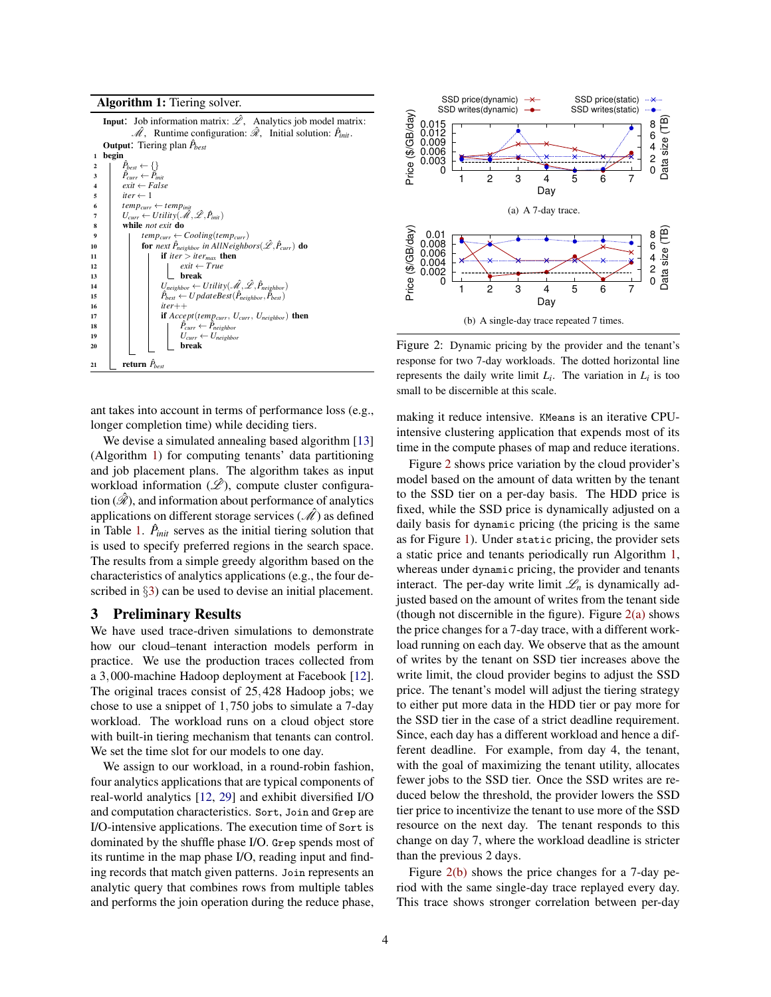Algorithm 1: Tiering solver. **Input:** Job information matrix:  $\hat{\mathscr{L}}$ , Analytics job model matrix:  $\hat{\mathcal{M}}$ , Runtime configuration:  $\hat{\mathcal{R}}$ , Initial solution:  $\hat{P}_{init}$ . **Output:** Tiering plan  $\hat{P}_{best}$ **begin** 2  $|\hat{P}|$  $\begin{array}{ccc} 2 & \hat{P}_{best} \leftarrow \{\}\ 3 & \hat{P}_{curr} \leftarrow \hat{P}_{init} \end{array}$ 4  $exit \leftarrow False$  $\begin{array}{c|c}\n5 & \text{iter} \leftarrow 1 \\
6 & \text{temp}_{curr}\n\end{array}$  $\begin{array}{lcl} \mathbf{f} & \text{temp}_{curr} \leftarrow temp_{init} \ \mathcal{T} & \text{U}_{curr} \leftarrow Utility(\hat{\mathscr{M}},\hat{\mathscr{L}},\hat{P}_{init}) \end{array}$ 8 while *not exit* do 9 **temp**<sub>curr</sub>  $\leftarrow$  *Cooling*(*temp*<sub>curr</sub>)<br>**for** *next*  $\hat{P}_{neibhor}$  *in AllNeighb* 10 **for** *next*  $\hat{P}_{neighbor}$  *in AllNeighbors*( $\hat{\mathscr{L}}, \hat{P}_{curr}$ ) do 11 **if** *iter* > *iter<sub>max</sub>* then 12 **exit** ←  $True$ <br>13 **exit** ←  $True$ 13 break 14  $\hat{P}_{\text{best}} \leftarrow \text{Utility}(\mathcal{M}, \mathcal{L}, \hat{P}_{\text{neighbor}})$ <br>
15  $\hat{P}_{\text{best}} \leftarrow \text{UpdateBest}(\hat{P}_{\text{neighbor}}, \hat{P}_{\text{best}})$ <sup>15</sup> *P*ˆ 16 *iter*++ 17 **if**  $Accept(temp_{curr}, U_{curr}, U_{neighbor})$  then<br>  $\downarrow \qquad \qquad \rho_{curr} \leftarrow \hat{P}_{neighbor}$ 18 **P P**<sup> $P_4$ </sup>  $\hat{P}_{neighbor} \leftarrow \hat{P}_{neighbor}$ 19 **19 I**  $U_{curr} \leftarrow U_{neighbor}$ <br>20 **break** 20 break 21 **c** return  $\hat{P}_{best}$ 

<span id="page-3-1"></span>ant takes into account in terms of performance loss (e.g., longer completion time) while deciding tiers.

We devise a simulated annealing based algorithm [\[13\]](#page-5-6) (Algorithm [1\)](#page-3-1) for computing tenants' data partitioning and job placement plans. The algorithm takes as input workload information  $(\hat{\mathscr{L}})$ , compute cluster configuration  $(\hat{\mathcal{R}})$ , and information about performance of analytics applications on different storage services  $(\mathcal{M})$  as defined in Table [1.](#page-2-2)  $\hat{P}_{init}$  serves as the initial tiering solution that is used to specify preferred regions in the search space. The results from a simple greedy algorithm based on the characteristics of analytics applications (e.g., the four de-scribed in §[3\)](#page-3-0) can be used to devise an initial placement.

# <span id="page-3-0"></span>3 Preliminary Results

We have used trace-driven simulations to demonstrate how our cloud–tenant interaction models perform in practice. We use the production traces collected from a 3,000-machine Hadoop deployment at Facebook [\[12\]](#page-5-11). The original traces consist of 25,428 Hadoop jobs; we chose to use a snippet of 1,750 jobs to simulate a 7-day workload. The workload runs on a cloud object store with built-in tiering mechanism that tenants can control. We set the time slot for our models to one day.

We assign to our workload, in a round-robin fashion, four analytics applications that are typical components of real-world analytics [\[12,](#page-5-11) [29\]](#page-6-7) and exhibit diversified I/O and computation characteristics. Sort, Join and Grep are I/O-intensive applications. The execution time of Sort is dominated by the shuffle phase I/O. Grep spends most of its runtime in the map phase I/O, reading input and finding records that match given patterns. Join represents an analytic query that combines rows from multiple tables and performs the join operation during the reduce phase,

<span id="page-3-3"></span><span id="page-3-2"></span>

<span id="page-3-4"></span>Figure 2: Dynamic pricing by the provider and the tenant's response for two 7-day workloads. The dotted horizontal line represents the daily write limit  $L_i$ . The variation in  $L_i$  is too small to be discernible at this scale.

making it reduce intensive. KMeans is an iterative CPUintensive clustering application that expends most of its time in the compute phases of map and reduce iterations.

Figure [2](#page-3-2) shows price variation by the cloud provider's model based on the amount of data written by the tenant to the SSD tier on a per-day basis. The HDD price is fixed, while the SSD price is dynamically adjusted on a daily basis for dynamic pricing (the pricing is the same as for Figure [1\)](#page-1-0). Under static pricing, the provider sets a static price and tenants periodically run Algorithm [1,](#page-3-1) whereas under dynamic pricing, the provider and tenants interact. The per-day write limit  $\mathcal{L}_n$  is dynamically adjusted based on the amount of writes from the tenant side (though not discernible in the figure). Figure  $2(a)$  shows the price changes for a 7-day trace, with a different workload running on each day. We observe that as the amount of writes by the tenant on SSD tier increases above the write limit, the cloud provider begins to adjust the SSD price. The tenant's model will adjust the tiering strategy to either put more data in the HDD tier or pay more for the SSD tier in the case of a strict deadline requirement. Since, each day has a different workload and hence a different deadline. For example, from day 4, the tenant, with the goal of maximizing the tenant utility, allocates fewer jobs to the SSD tier. Once the SSD writes are reduced below the threshold, the provider lowers the SSD tier price to incentivize the tenant to use more of the SSD resource on the next day. The tenant responds to this change on day 7, where the workload deadline is stricter than the previous 2 days.

Figure [2\(b\)](#page-3-4) shows the price changes for a 7-day period with the same single-day trace replayed every day. This trace shows stronger correlation between per-day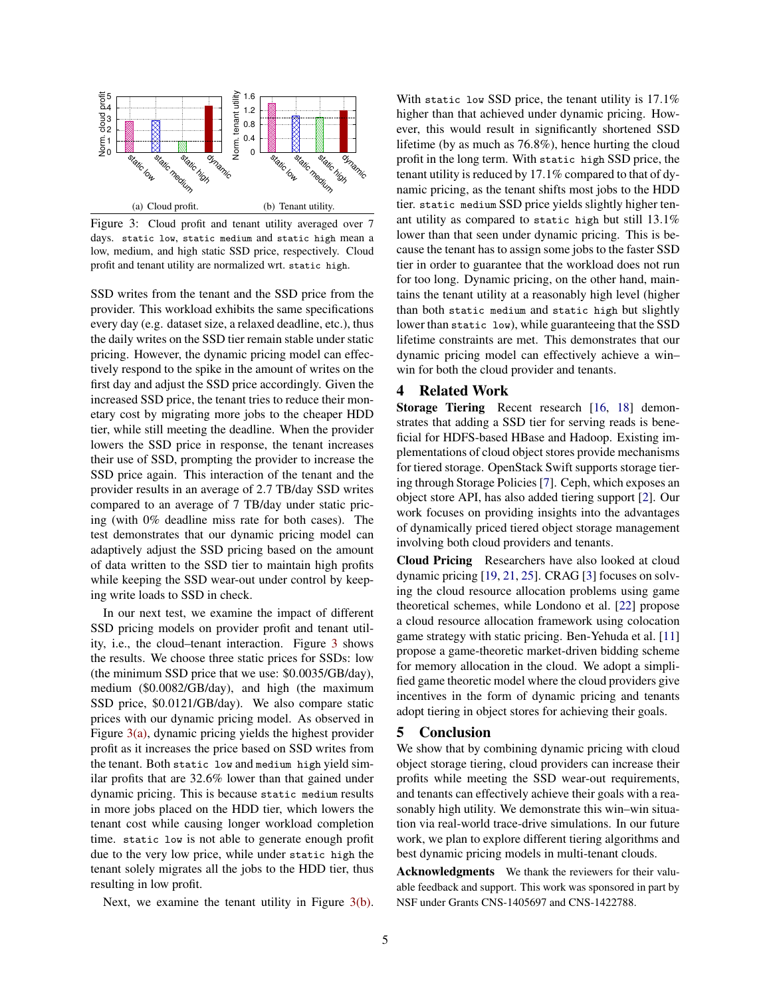<span id="page-4-1"></span><span id="page-4-0"></span>

<span id="page-4-2"></span>Figure 3: Cloud profit and tenant utility averaged over 7 days. static low, static medium and static high mean a low, medium, and high static SSD price, respectively. Cloud profit and tenant utility are normalized wrt. static high.

SSD writes from the tenant and the SSD price from the provider. This workload exhibits the same specifications every day (e.g. dataset size, a relaxed deadline, etc.), thus the daily writes on the SSD tier remain stable under static pricing. However, the dynamic pricing model can effectively respond to the spike in the amount of writes on the first day and adjust the SSD price accordingly. Given the increased SSD price, the tenant tries to reduce their monetary cost by migrating more jobs to the cheaper HDD tier, while still meeting the deadline. When the provider lowers the SSD price in response, the tenant increases their use of SSD, prompting the provider to increase the SSD price again. This interaction of the tenant and the provider results in an average of 2.7 TB/day SSD writes compared to an average of 7 TB/day under static pricing (with 0% deadline miss rate for both cases). The test demonstrates that our dynamic pricing model can adaptively adjust the SSD pricing based on the amount of data written to the SSD tier to maintain high profits while keeping the SSD wear-out under control by keeping write loads to SSD in check.

In our next test, we examine the impact of different SSD pricing models on provider profit and tenant utility, i.e., the cloud–tenant interaction. Figure [3](#page-4-0) shows the results. We choose three static prices for SSDs: low (the minimum SSD price that we use: \$0.0035/GB/day), medium (\$0.0082/GB/day), and high (the maximum SSD price, \$0.0121/GB/day). We also compare static prices with our dynamic pricing model. As observed in Figure [3\(a\),](#page-4-1) dynamic pricing yields the highest provider profit as it increases the price based on SSD writes from the tenant. Both static low and medium high yield similar profits that are 32.6% lower than that gained under dynamic pricing. This is because static medium results in more jobs placed on the HDD tier, which lowers the tenant cost while causing longer workload completion time. static low is not able to generate enough profit due to the very low price, while under static high the tenant solely migrates all the jobs to the HDD tier, thus resulting in low profit.

Next, we examine the tenant utility in Figure [3\(b\).](#page-4-2)

With static low SSD price, the tenant utility is 17.1% higher than that achieved under dynamic pricing. However, this would result in significantly shortened SSD lifetime (by as much as 76.8%), hence hurting the cloud profit in the long term. With static high SSD price, the tenant utility is reduced by 17.1% compared to that of dynamic pricing, as the tenant shifts most jobs to the HDD tier. static medium SSD price yields slightly higher tenant utility as compared to static high but still 13.1% lower than that seen under dynamic pricing. This is because the tenant has to assign some jobs to the faster SSD tier in order to guarantee that the workload does not run for too long. Dynamic pricing, on the other hand, maintains the tenant utility at a reasonably high level (higher than both static medium and static high but slightly lower than static low), while guaranteeing that the SSD lifetime constraints are met. This demonstrates that our dynamic pricing model can effectively achieve a win– win for both the cloud provider and tenants.

# 4 Related Work

Storage Tiering Recent research [\[16,](#page-5-8) [18\]](#page-6-2) demonstrates that adding a SSD tier for serving reads is beneficial for HDFS-based HBase and Hadoop. Existing implementations of cloud object stores provide mechanisms for tiered storage. OpenStack Swift supports storage tiering through Storage Policies [\[7\]](#page-5-13). Ceph, which exposes an object store API, has also added tiering support [\[2\]](#page-5-14). Our work focuses on providing insights into the advantages of dynamically priced tiered object storage management involving both cloud providers and tenants.

Cloud Pricing Researchers have also looked at cloud dynamic pricing [\[19,](#page-6-8) [21,](#page-6-9) [25\]](#page-6-10). CRAG [\[3\]](#page-5-15) focuses on solving the cloud resource allocation problems using game theoretical schemes, while Londono et al. [\[22\]](#page-6-11) propose a cloud resource allocation framework using colocation game strategy with static pricing. Ben-Yehuda et al. [\[11\]](#page-5-16) propose a game-theoretic market-driven bidding scheme for memory allocation in the cloud. We adopt a simplified game theoretic model where the cloud providers give incentives in the form of dynamic pricing and tenants adopt tiering in object stores for achieving their goals.

#### 5 Conclusion

We show that by combining dynamic pricing with cloud object storage tiering, cloud providers can increase their profits while meeting the SSD wear-out requirements, and tenants can effectively achieve their goals with a reasonably high utility. We demonstrate this win–win situation via real-world trace-drive simulations. In our future work, we plan to explore different tiering algorithms and best dynamic pricing models in multi-tenant clouds.

Acknowledgments We thank the reviewers for their valuable feedback and support. This work was sponsored in part by NSF under Grants CNS-1405697 and CNS-1422788.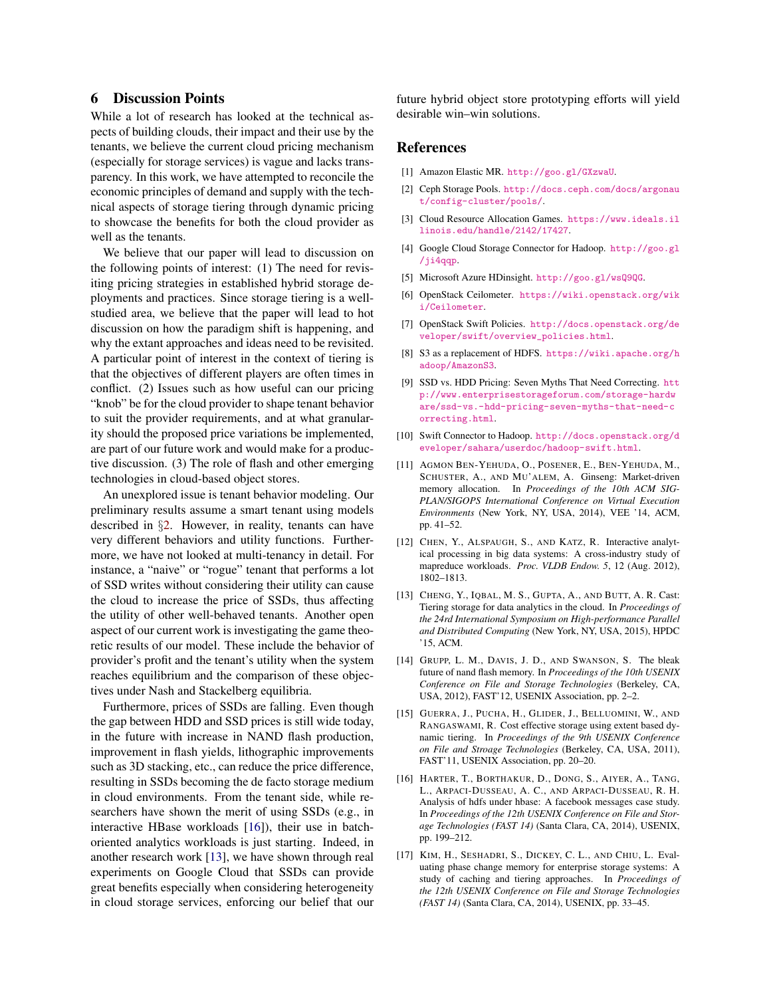# 6 Discussion Points

While a lot of research has looked at the technical aspects of building clouds, their impact and their use by the tenants, we believe the current cloud pricing mechanism (especially for storage services) is vague and lacks transparency. In this work, we have attempted to reconcile the economic principles of demand and supply with the technical aspects of storage tiering through dynamic pricing to showcase the benefits for both the cloud provider as well as the tenants.

We believe that our paper will lead to discussion on the following points of interest: (1) The need for revisiting pricing strategies in established hybrid storage deployments and practices. Since storage tiering is a wellstudied area, we believe that the paper will lead to hot discussion on how the paradigm shift is happening, and why the extant approaches and ideas need to be revisited. A particular point of interest in the context of tiering is that the objectives of different players are often times in conflict. (2) Issues such as how useful can our pricing "knob" be for the cloud provider to shape tenant behavior to suit the provider requirements, and at what granularity should the proposed price variations be implemented, are part of our future work and would make for a productive discussion. (3) The role of flash and other emerging technologies in cloud-based object stores.

An unexplored issue is tenant behavior modeling. Our preliminary results assume a smart tenant using models described in §[2.](#page-1-1) However, in reality, tenants can have very different behaviors and utility functions. Furthermore, we have not looked at multi-tenancy in detail. For instance, a "naive" or "rogue" tenant that performs a lot of SSD writes without considering their utility can cause the cloud to increase the price of SSDs, thus affecting the utility of other well-behaved tenants. Another open aspect of our current work is investigating the game theoretic results of our model. These include the behavior of provider's profit and the tenant's utility when the system reaches equilibrium and the comparison of these objectives under Nash and Stackelberg equilibria.

Furthermore, prices of SSDs are falling. Even though the gap between HDD and SSD prices is still wide today, in the future with increase in NAND flash production, improvement in flash yields, lithographic improvements such as 3D stacking, etc., can reduce the price difference, resulting in SSDs becoming the de facto storage medium in cloud environments. From the tenant side, while researchers have shown the merit of using SSDs (e.g., in interactive HBase workloads [\[16\]](#page-5-8)), their use in batchoriented analytics workloads is just starting. Indeed, in another research work [\[13\]](#page-5-6), we have shown through real experiments on Google Cloud that SSDs can provide great benefits especially when considering heterogeneity in cloud storage services, enforcing our belief that our future hybrid object store prototyping efforts will yield desirable win–win solutions.

#### <span id="page-5-3"></span>References

- <span id="page-5-14"></span>[1] Amazon Elastic MR. <http://goo.gl/GXzwaU>.
- [2] Ceph Storage Pools. [http://docs.ceph.com/docs/argonau](http://docs.ceph.com/docs/argonaut/config-cluster/pools/) [t/config-cluster/pools/](http://docs.ceph.com/docs/argonaut/config-cluster/pools/).
- <span id="page-5-15"></span>[3] Cloud Resource Allocation Games. [https://www.ideals.il](https://www.ideals.illinois.edu/handle/2142/17427) [linois.edu/handle/2142/17427](https://www.ideals.illinois.edu/handle/2142/17427).
- <span id="page-5-1"></span>[4] Google Cloud Storage Connector for Hadoop. [http://goo.gl](http://goo.gl/ji4qqp) [/ji4qqp](http://goo.gl/ji4qqp).
- <span id="page-5-12"></span><span id="page-5-4"></span>[5] Microsoft Azure HDinsight. <http://goo.gl/wsQ9QG>.
- <span id="page-5-13"></span>[6] OpenStack Ceilometer. [https://wiki.openstack.org/wik](https://wiki.openstack.org/wiki/Ceilometer) [i/Ceilometer](https://wiki.openstack.org/wiki/Ceilometer).
- [7] OpenStack Swift Policies. [http://docs.openstack.org/de](http://docs.openstack.org/developer/swift/overview_policies.html) [veloper/swift/overview\\_policies.html](http://docs.openstack.org/developer/swift/overview_policies.html).
- <span id="page-5-0"></span>[8] S3 as a replacement of HDFS. [https://wiki.apache.org/h](https://wiki.apache.org/hadoop/AmazonS3) [adoop/AmazonS3](https://wiki.apache.org/hadoop/AmazonS3).
- <span id="page-5-5"></span>[9] SSD vs. HDD Pricing: Seven Myths That Need Correcting. [htt](http://www.enterprisestorageforum.com/storage-hardware/ssd-vs.-hdd-pricing-seven-myths-that-need-correcting.html) [p://www.enterprisestorageforum.com/storage-hardw](http://www.enterprisestorageforum.com/storage-hardware/ssd-vs.-hdd-pricing-seven-myths-that-need-correcting.html) [are/ssd-vs.-hdd-pricing-seven-myths-that-need-c](http://www.enterprisestorageforum.com/storage-hardware/ssd-vs.-hdd-pricing-seven-myths-that-need-correcting.html) [orrecting.html](http://www.enterprisestorageforum.com/storage-hardware/ssd-vs.-hdd-pricing-seven-myths-that-need-correcting.html).
- <span id="page-5-2"></span>[10] Swift Connector to Hadoop. [http://docs.openstack.org/d](http://docs.openstack.org/developer/sahara/userdoc/hadoop-swift.html) [eveloper/sahara/userdoc/hadoop-swift.html](http://docs.openstack.org/developer/sahara/userdoc/hadoop-swift.html).
- <span id="page-5-16"></span>[11] AGMON BEN-YEHUDA, O., POSENER, E., BEN-YEHUDA, M., SCHUSTER, A., AND MU'ALEM, A. Ginseng: Market-driven memory allocation. In *Proceedings of the 10th ACM SIG-PLAN/SIGOPS International Conference on Virtual Execution Environments* (New York, NY, USA, 2014), VEE '14, ACM, pp. 41–52.
- <span id="page-5-11"></span>[12] CHEN, Y., ALSPAUGH, S., AND KATZ, R. Interactive analytical processing in big data systems: A cross-industry study of mapreduce workloads. *Proc. VLDB Endow. 5*, 12 (Aug. 2012), 1802–1813.
- <span id="page-5-6"></span>[13] CHENG, Y., IQBAL, M. S., GUPTA, A., AND BUTT, A. R. Cast: Tiering storage for data analytics in the cloud. In *Proceedings of the 24rd International Symposium on High-performance Parallel and Distributed Computing* (New York, NY, USA, 2015), HPDC '15, ACM.
- <span id="page-5-9"></span>[14] GRUPP, L. M., DAVIS, J. D., AND SWANSON, S. The bleak future of nand flash memory. In *Proceedings of the 10th USENIX Conference on File and Storage Technologies* (Berkeley, CA, USA, 2012), FAST'12, USENIX Association, pp. 2–2.
- <span id="page-5-7"></span>[15] GUERRA, J., PUCHA, H., GLIDER, J., BELLUOMINI, W., AND RANGASWAMI, R. Cost effective storage using extent based dynamic tiering. In *Proceedings of the 9th USENIX Conference on File and Stroage Technologies* (Berkeley, CA, USA, 2011), FAST'11, USENIX Association, pp. 20–20.
- <span id="page-5-8"></span>[16] HARTER, T., BORTHAKUR, D., DONG, S., AIYER, A., TANG, L., ARPACI-DUSSEAU, A. C., AND ARPACI-DUSSEAU, R. H. Analysis of hdfs under hbase: A facebook messages case study. In *Proceedings of the 12th USENIX Conference on File and Storage Technologies (FAST 14)* (Santa Clara, CA, 2014), USENIX, pp. 199–212.
- <span id="page-5-10"></span>[17] KIM, H., SESHADRI, S., DICKEY, C. L., AND CHIU, L. Evaluating phase change memory for enterprise storage systems: A study of caching and tiering approaches. In *Proceedings of the 12th USENIX Conference on File and Storage Technologies (FAST 14)* (Santa Clara, CA, 2014), USENIX, pp. 33–45.